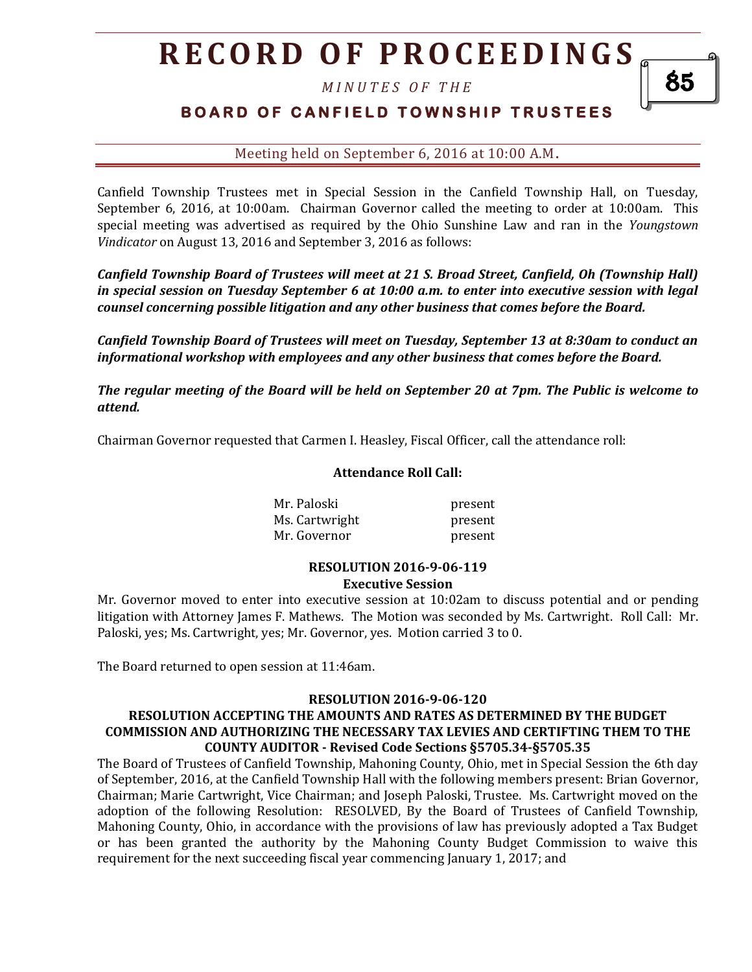*M I N U T E S O F T H E* 

## **BOARD OF CANFIELD TOWNSHIP TRUSTEES**

Meeting held on September 6, 2016 at 10:00 A.M**.**

Canfield Township Trustees met in Special Session in the Canfield Township Hall, on Tuesday, September 6, 2016, at 10:00am. Chairman Governor called the meeting to order at 10:00am. This special meeting was advertised as required by the Ohio Sunshine Law and ran in the *Youngstown Vindicator* on August 13, 2016 and September 3, 2016 as follows:

*Canfield Township Board of Trustees will meet at 21 S. Broad Street, Canfield, Oh (Township Hall) in special session on Tuesday September 6 at 10:00 a.m. to enter into executive session with legal counsel concerning possible litigation and any other business that comes before the Board.* 

*Canfield Township Board of Trustees will meet on Tuesday, September 13 at 8:30am to conduct an informational workshop with employees and any other business that comes before the Board.* 

*The regular meeting of the Board will be held on September 20 at 7pm. The Public is welcome to attend.*

Chairman Governor requested that Carmen I. Heasley, Fiscal Officer, call the attendance roll:

#### **Attendance Roll Call:**

Mr. Paloski present Ms. Cartwright **present** Mr. Governor **present** 

#### **RESOLUTION 2016-9-06-119 Executive Session**

Mr. Governor moved to enter into executive session at 10:02am to discuss potential and or pending litigation with Attorney James F. Mathews. The Motion was seconded by Ms. Cartwright. Roll Call: Mr. Paloski, yes; Ms. Cartwright, yes; Mr. Governor, yes. Motion carried 3 to 0.

The Board returned to open session at 11:46am.

#### **RESOLUTION 2016-9-06-120**

### **RESOLUTION ACCEPTING THE AMOUNTS AND RATES AS DETERMINED BY THE BUDGET COMMISSION AND AUTHORIZING THE NECESSARY TAX LEVIES AND CERTIFTING THEM TO THE COUNTY AUDITOR - Revised Code Sections §5705.34-§5705.35**

The Board of Trustees of Canfield Township, Mahoning County, Ohio, met in Special Session the 6th day of September, 2016, at the Canfield Township Hall with the following members present: Brian Governor, Chairman; Marie Cartwright, Vice Chairman; and Joseph Paloski, Trustee. Ms. Cartwright moved on the adoption of the following Resolution: RESOLVED, By the Board of Trustees of Canfield Township, Mahoning County, Ohio, in accordance with the provisions of law has previously adopted a Tax Budget or has been granted the authority by the Mahoning County Budget Commission to waive this requirement for the next succeeding fiscal year commencing January 1, 2017; and

85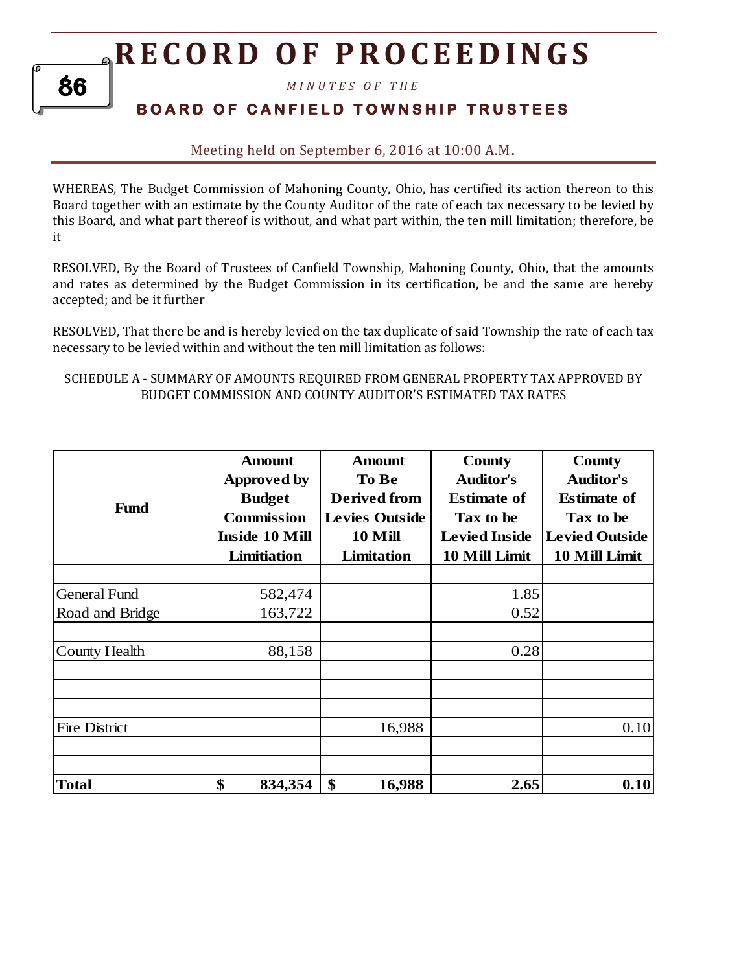*M I N U T E S O F T H E* 

## **B O A R D O F C A N F I E L D T O W N S H I P T R U S T E E S**

Meeting held on September 6, 2016 at 10:00 A.M**.**

WHEREAS, The Budget Commission of Mahoning County, Ohio, has certified its action thereon to this Board together with an estimate by the County Auditor of the rate of each tax necessary to be levied by this Board, and what part thereof is without, and what part within, the ten mill limitation; therefore, be it

RESOLVED, By the Board of Trustees of Canfield Township, Mahoning County, Ohio, that the amounts and rates as determined by the Budget Commission in its certification, be and the same are hereby accepted; and be it further

RESOLVED, That there be and is hereby levied on the tax duplicate of said Township the rate of each tax necessary to be levied within and without the ten mill limitation as follows:

### SCHEDULE A - SUMMARY OF AMOUNTS REQUIRED FROM GENERAL PROPERTY TAX APPROVED BY BUDGET COMMISSION AND COUNTY AUDITOR'S ESTIMATED TAX RATES

|                      | <b>Amount</b>         | <b>Amount</b>         | County               | County                |  |
|----------------------|-----------------------|-----------------------|----------------------|-----------------------|--|
|                      | <b>Approved by</b>    | To Be                 | <b>Auditor's</b>     | <b>Auditor's</b>      |  |
| <b>Fund</b>          | <b>Budget</b>         | <b>Derived from</b>   | <b>Estimate of</b>   | <b>Estimate of</b>    |  |
|                      | <b>Commission</b>     | <b>Levies Outside</b> | Tax to be            | Tax to be             |  |
|                      | <b>Inside 10 Mill</b> | 10 Mill               | <b>Levied Inside</b> | <b>Levied Outside</b> |  |
|                      | Limitiation           | Limitation            | 10 Mill Limit        | 10 Mill Limit         |  |
|                      |                       |                       |                      |                       |  |
| <b>General Fund</b>  | 582,474               |                       | 1.85                 |                       |  |
| Road and Bridge      | 163,722               |                       | 0.52                 |                       |  |
|                      |                       |                       |                      |                       |  |
| <b>County Health</b> | 88,158                |                       | 0.28                 |                       |  |
|                      |                       |                       |                      |                       |  |
|                      |                       |                       |                      |                       |  |
| <b>Fire District</b> |                       | 16,988                |                      | 0.10                  |  |
| <b>Total</b>         | \$<br>834,354         | \$<br>16,988          | 2.65                 | 0.10                  |  |

86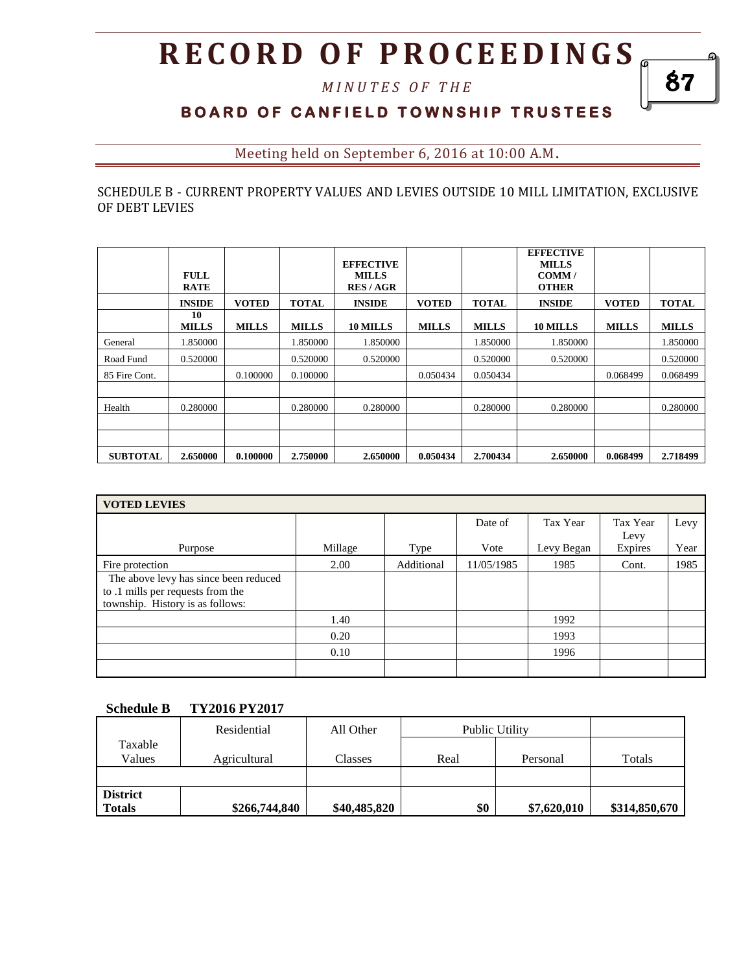*M I N U T E S O F T H E* 

## **BOARD OF CANFIELD TOWNSHIP TRUSTEES**

Meeting held on September 6, 2016 at 10:00 A.M**.**

### SCHEDULE B - CURRENT PROPERTY VALUES AND LEVIES OUTSIDE 10 MILL LIMITATION, EXCLUSIVE OF DEBT LEVIES

|                 | <b>FULL</b><br><b>RATE</b> |              |              | <b>EFFECTIVE</b><br><b>MILLS</b><br><b>RES/AGR</b> |              |              | <b>EFFECTIVE</b><br><b>MILLS</b><br>COMM/<br><b>OTHER</b> |              |              |
|-----------------|----------------------------|--------------|--------------|----------------------------------------------------|--------------|--------------|-----------------------------------------------------------|--------------|--------------|
|                 | <b>INSIDE</b>              | <b>VOTED</b> | <b>TOTAL</b> | <b>INSIDE</b>                                      | <b>VOTED</b> | <b>TOTAL</b> | <b>INSIDE</b>                                             | <b>VOTED</b> | <b>TOTAL</b> |
|                 | 10<br><b>MILLS</b>         | <b>MILLS</b> | <b>MILLS</b> | 10 MILLS                                           | <b>MILLS</b> | <b>MILLS</b> | 10 MILLS                                                  | <b>MILLS</b> | <b>MILLS</b> |
| General         | 1.850000                   |              | 1.850000     | 1.850000                                           |              | 1.850000     | 1.850000                                                  |              | 1.850000     |
| Road Fund       | 0.520000                   |              | 0.520000     | 0.520000                                           |              | 0.520000     | 0.520000                                                  |              | 0.520000     |
| 85 Fire Cont.   |                            | 0.100000     | 0.100000     |                                                    | 0.050434     | 0.050434     |                                                           | 0.068499     | 0.068499     |
| Health          | 0.280000                   |              | 0.280000     | 0.280000                                           |              | 0.280000     | 0.280000                                                  |              | 0.280000     |
| <b>SUBTOTAL</b> | 2.650000                   | 0.100000     | 2.750000     | 2.650000                                           | 0.050434     | 2.700434     | 2.650000                                                  | 0.068499     | 2.718499     |

| <b>VOTED LEVIES</b>                                                                                            |         |            |            |            |                  |      |  |  |  |
|----------------------------------------------------------------------------------------------------------------|---------|------------|------------|------------|------------------|------|--|--|--|
|                                                                                                                |         |            | Date of    | Tax Year   | Tax Year<br>Levy | Levy |  |  |  |
| Purpose                                                                                                        | Millage | Type       | Vote       | Levy Began | Expires          | Year |  |  |  |
| Fire protection                                                                                                | 2.00    | Additional | 11/05/1985 | 1985       | Cont.            | 1985 |  |  |  |
| The above levy has since been reduced<br>to .1 mills per requests from the<br>township. History is as follows: |         |            |            |            |                  |      |  |  |  |
|                                                                                                                | 1.40    |            |            | 1992       |                  |      |  |  |  |
|                                                                                                                | 0.20    |            |            | 1993       |                  |      |  |  |  |
|                                                                                                                | 0.10    |            |            | 1996       |                  |      |  |  |  |
|                                                                                                                |         |            |            |            |                  |      |  |  |  |

#### **Schedule B TY2016 PY2017**

|                                  | Residential<br>All Other |              | Public Utility |             |               |
|----------------------------------|--------------------------|--------------|----------------|-------------|---------------|
| Taxable<br>Values                | Agricultural             | Classes      | Real           | Personal    | Totals        |
|                                  |                          |              |                |             |               |
| <b>District</b><br><b>Totals</b> | \$266,744,840            | \$40,485,820 | \$0            | \$7,620,010 | \$314,850,670 |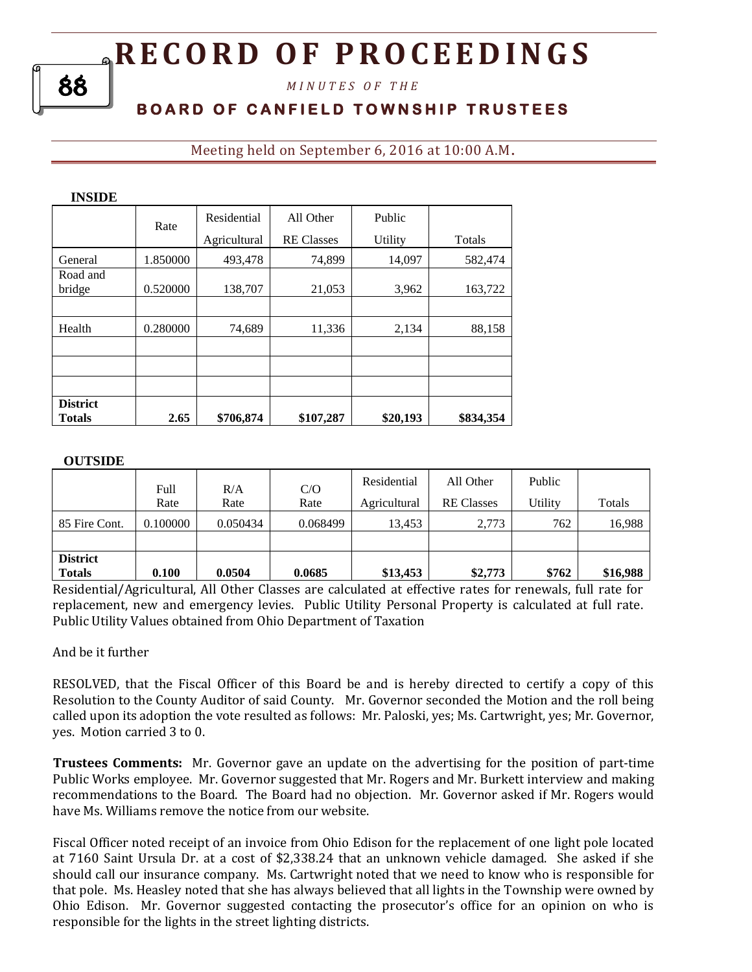*M I N U T E S O F T H E* 

## **B O A R D O F C A N F I E L D T O W N S H I P T R U S T E E S**

Meeting held on September 6, 2016 at 10:00 A.M**.**

| INSIDE          |          |              |                   |          |           |
|-----------------|----------|--------------|-------------------|----------|-----------|
|                 | Rate     | Residential  | All Other         | Public   |           |
|                 |          | Agricultural | <b>RE Classes</b> | Utility  | Totals    |
| General         | 1.850000 | 493,478      | 74,899            | 14,097   | 582,474   |
| Road and        |          |              |                   |          |           |
| bridge          | 0.520000 | 138,707      | 21,053            | 3,962    | 163,722   |
|                 |          |              |                   |          |           |
| Health          | 0.280000 | 74,689       | 11,336            | 2,134    | 88,158    |
|                 |          |              |                   |          |           |
|                 |          |              |                   |          |           |
|                 |          |              |                   |          |           |
| <b>District</b> |          |              |                   |          |           |
| <b>Totals</b>   | 2.65     | \$706,874    | \$107,287         | \$20,193 | \$834,354 |

### **OUTSIDE**

|                                  | Full<br>Rate | R/A<br>Rate | C/O<br>Rate | Residential<br>Agricultural | All Other<br><b>RE</b> Classes | Public<br>Utility | Totals   |
|----------------------------------|--------------|-------------|-------------|-----------------------------|--------------------------------|-------------------|----------|
| 85 Fire Cont.                    | 0.100000     | 0.050434    | 0.068499    | 13.453                      | 2,773                          | 762               | 16,988   |
|                                  |              |             |             |                             |                                |                   |          |
| <b>District</b><br><b>Totals</b> | 0.100        | 0.0504      | 0.0685      | \$13,453                    | \$2,773                        | \$762             | \$16,988 |

Residential/Agricultural, All Other Classes are calculated at effective rates for renewals, full rate for replacement, new and emergency levies. Public Utility Personal Property is calculated at full rate. Public Utility Values obtained from Ohio Department of Taxation

### And be it further

RESOLVED, that the Fiscal Officer of this Board be and is hereby directed to certify a copy of this Resolution to the County Auditor of said County. Mr. Governor seconded the Motion and the roll being called upon its adoption the vote resulted as follows: Mr. Paloski, yes; Ms. Cartwright, yes; Mr. Governor, yes. Motion carried 3 to 0.

**Trustees Comments:** Mr. Governor gave an update on the advertising for the position of part-time Public Works employee. Mr. Governor suggested that Mr. Rogers and Mr. Burkett interview and making recommendations to the Board. The Board had no objection. Mr. Governor asked if Mr. Rogers would have Ms. Williams remove the notice from our website.

Fiscal Officer noted receipt of an invoice from Ohio Edison for the replacement of one light pole located at 7160 Saint Ursula Dr. at a cost of \$2,338.24 that an unknown vehicle damaged. She asked if she should call our insurance company. Ms. Cartwright noted that we need to know who is responsible for that pole. Ms. Heasley noted that she has always believed that all lights in the Township were owned by Ohio Edison. Mr. Governor suggested contacting the prosecutor's office for an opinion on who is responsible for the lights in the street lighting districts.

88

**INSIDE**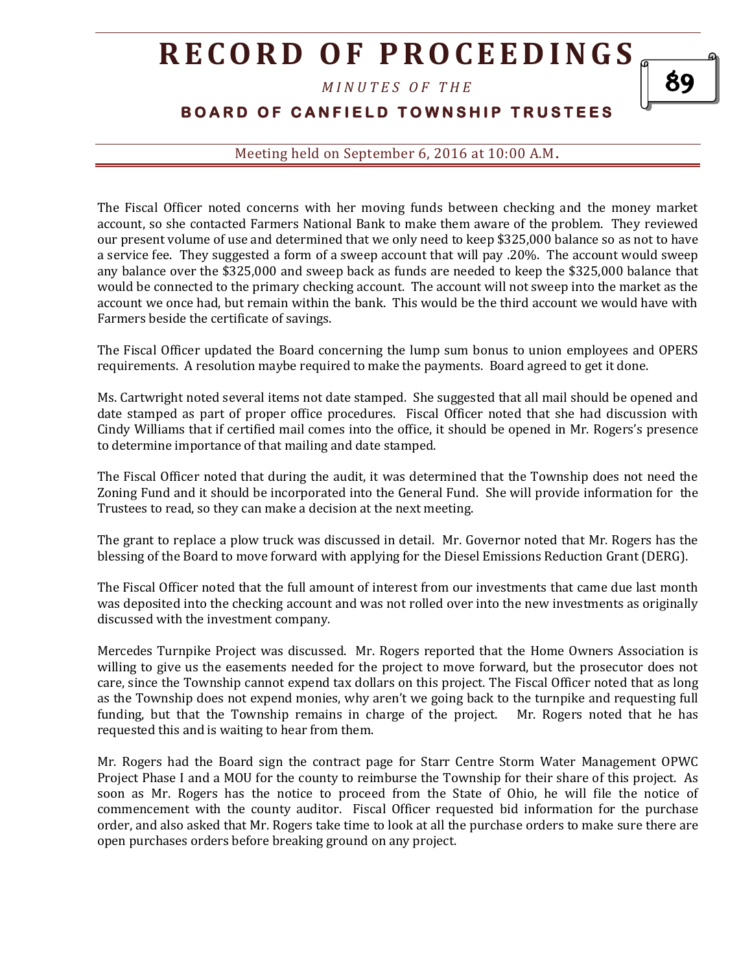*M I N U T E S O F T H E* 

## **BOARD OF CANFIELD TOWNSHIP TRUSTEES**

89

Meeting held on September 6, 2016 at 10:00 A.M**.**

The Fiscal Officer noted concerns with her moving funds between checking and the money market account, so she contacted Farmers National Bank to make them aware of the problem. They reviewed our present volume of use and determined that we only need to keep \$325,000 balance so as not to have a service fee. They suggested a form of a sweep account that will pay .20%. The account would sweep any balance over the \$325,000 and sweep back as funds are needed to keep the \$325,000 balance that would be connected to the primary checking account. The account will not sweep into the market as the account we once had, but remain within the bank. This would be the third account we would have with Farmers beside the certificate of savings.

The Fiscal Officer updated the Board concerning the lump sum bonus to union employees and OPERS requirements. A resolution maybe required to make the payments. Board agreed to get it done.

Ms. Cartwright noted several items not date stamped. She suggested that all mail should be opened and date stamped as part of proper office procedures. Fiscal Officer noted that she had discussion with Cindy Williams that if certified mail comes into the office, it should be opened in Mr. Rogers's presence to determine importance of that mailing and date stamped.

The Fiscal Officer noted that during the audit, it was determined that the Township does not need the Zoning Fund and it should be incorporated into the General Fund. She will provide information for the Trustees to read, so they can make a decision at the next meeting.

The grant to replace a plow truck was discussed in detail. Mr. Governor noted that Mr. Rogers has the blessing of the Board to move forward with applying for the Diesel Emissions Reduction Grant (DERG).

The Fiscal Officer noted that the full amount of interest from our investments that came due last month was deposited into the checking account and was not rolled over into the new investments as originally discussed with the investment company.

Mercedes Turnpike Project was discussed. Mr. Rogers reported that the Home Owners Association is willing to give us the easements needed for the project to move forward, but the prosecutor does not care, since the Township cannot expend tax dollars on this project. The Fiscal Officer noted that as long as the Township does not expend monies, why aren't we going back to the turnpike and requesting full funding, but that the Township remains in charge of the project. Mr. Rogers noted that he has requested this and is waiting to hear from them.

Mr. Rogers had the Board sign the contract page for Starr Centre Storm Water Management OPWC Project Phase I and a MOU for the county to reimburse the Township for their share of this project. As soon as Mr. Rogers has the notice to proceed from the State of Ohio, he will file the notice of commencement with the county auditor. Fiscal Officer requested bid information for the purchase order, and also asked that Mr. Rogers take time to look at all the purchase orders to make sure there are open purchases orders before breaking ground on any project.